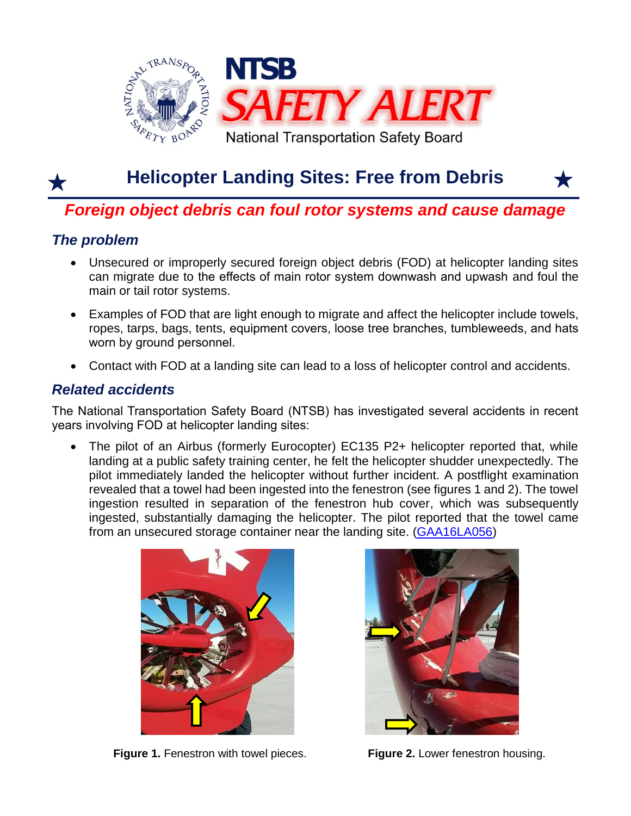

# **Helicopter Landing Sites: Free from Debris**

*Foreign object debris can foul rotor systems and cause damage*

## *The problem*

- Unsecured or improperly secured foreign object debris (FOD) at helicopter landing sites can migrate due to the effects of main rotor system downwash and upwash and foul the main or tail rotor systems.
- Examples of FOD that are light enough to migrate and affect the helicopter include towels, ropes, tarps, bags, tents, equipment covers, loose tree branches, tumbleweeds, and hats worn by ground personnel.
- Contact with FOD at a landing site can lead to a loss of helicopter control and accidents.

### *Related accidents*

The National Transportation Safety Board (NTSB) has investigated several accidents in recent years involving FOD at helicopter landing sites:

 The pilot of an Airbus (formerly Eurocopter) EC135 P2+ helicopter reported that, while landing at a public safety training center, he felt the helicopter shudder unexpectedly. The pilot immediately landed the helicopter without further incident. A postflight examination revealed that a towel had been ingested into the fenestron (see figures 1 and 2). The towel ingestion resulted in separation of the fenestron hub cover, which was subsequently ingested, substantially damaging the helicopter. The pilot reported that the towel came from an unsecured storage container near the landing site. [\(GAA16LA056\)](http://www.ntsb.gov/_layouts/ntsb.aviation/brief.aspx?ev_id=20151119X93456&key=1&queryId=a676457d-eb22-42b1-9358-299ea35b4ecf&pgno=7&pgsize=200)



**Figure 1.** Fenestron with towel pieces. **Figure 2.** Lower fenestron housing.

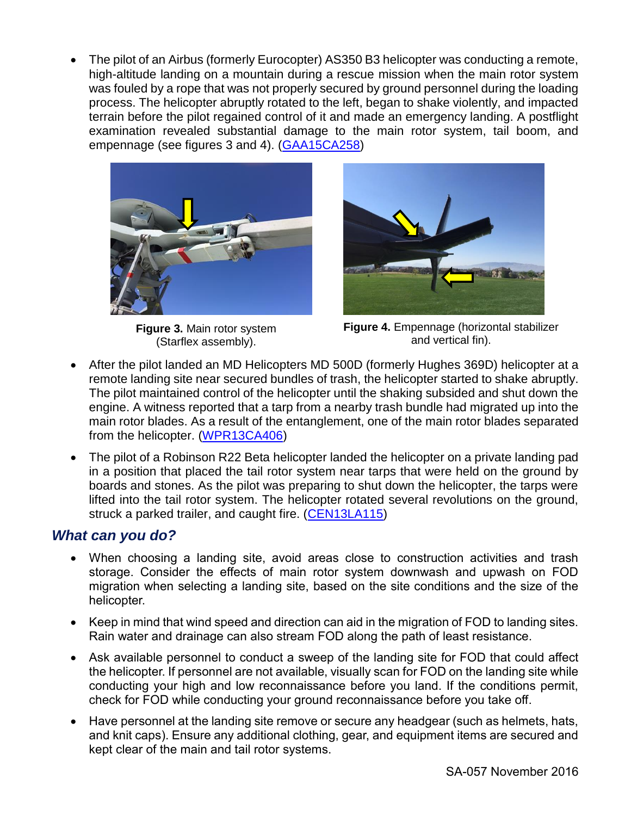The pilot of an Airbus (formerly Eurocopter) AS350 B3 helicopter was conducting a remote, high-altitude landing on a mountain during a rescue mission when the main rotor system was fouled by a rope that was not properly secured by ground personnel during the loading process. The helicopter abruptly rotated to the left, began to shake violently, and impacted terrain before the pilot regained control of it and made an emergency landing. A postflight examination revealed substantial damage to the main rotor system, tail boom, and empennage (see figures 3 and 4). [\(GAA15CA258\)](http://www.ntsb.gov/_layouts/ntsb.aviation/brief.aspx?ev_id=20150915X30504&key=1&queryId=d3a3c052-42eb-483f-a643-1483e29f99bf&pgno=2&pgsize=200)



**Figure 3.** Main rotor system (Starflex assembly).



**Figure 4.** Empennage (horizontal stabilizer and vertical fin).

- After the pilot landed an MD Helicopters MD 500D (formerly Hughes 369D) helicopter at a remote landing site near secured bundles of trash, the helicopter started to shake abruptly. The pilot maintained control of the helicopter until the shaking subsided and shut down the engine. A witness reported that a tarp from a nearby trash bundle had migrated up into the main rotor blades. As a result of the entanglement, one of the main rotor blades separated from the helicopter. [\(WPR13CA406\)](http://www.ntsb.gov/_layouts/ntsb.aviation/brief.aspx?ev_id=20130913X72435&key=1&queryId=d426fdaa-d2aa-4a85-a9f3-fbe0ce07e91f&pgno=8&pgsize=50)
- The pilot of a Robinson R22 Beta helicopter landed the helicopter on a private landing pad in a position that placed the tail rotor system near tarps that were held on the ground by boards and stones. As the pilot was preparing to shut down the helicopter, the tarps were lifted into the tail rotor system. The helicopter rotated several revolutions on the ground, struck a parked trailer, and caught fire. [\(CEN13LA115\)](http://www.ntsb.gov/_layouts/ntsb.aviation/brief.aspx?ev_id=20121227X90525&key=1&queryId=7fc8163e-a36e-4818-aa9b-43bf2ed9e10a&pgno=1&pgsize=100)

### *What can you do?*

- When choosing a landing site, avoid areas close to construction activities and trash storage. Consider the effects of main rotor system downwash and upwash on FOD migration when selecting a landing site, based on the site conditions and the size of the helicopter.
- Keep in mind that wind speed and direction can aid in the migration of FOD to landing sites. Rain water and drainage can also stream FOD along the path of least resistance.
- Ask available personnel to conduct a sweep of the landing site for FOD that could affect the helicopter. If personnel are not available, visually scan for FOD on the landing site while conducting your high and low reconnaissance before you land. If the conditions permit, check for FOD while conducting your ground reconnaissance before you take off.
- Have personnel at the landing site remove or secure any headgear (such as helmets, hats, and knit caps). Ensure any additional clothing, gear, and equipment items are secured and kept clear of the main and tail rotor systems.